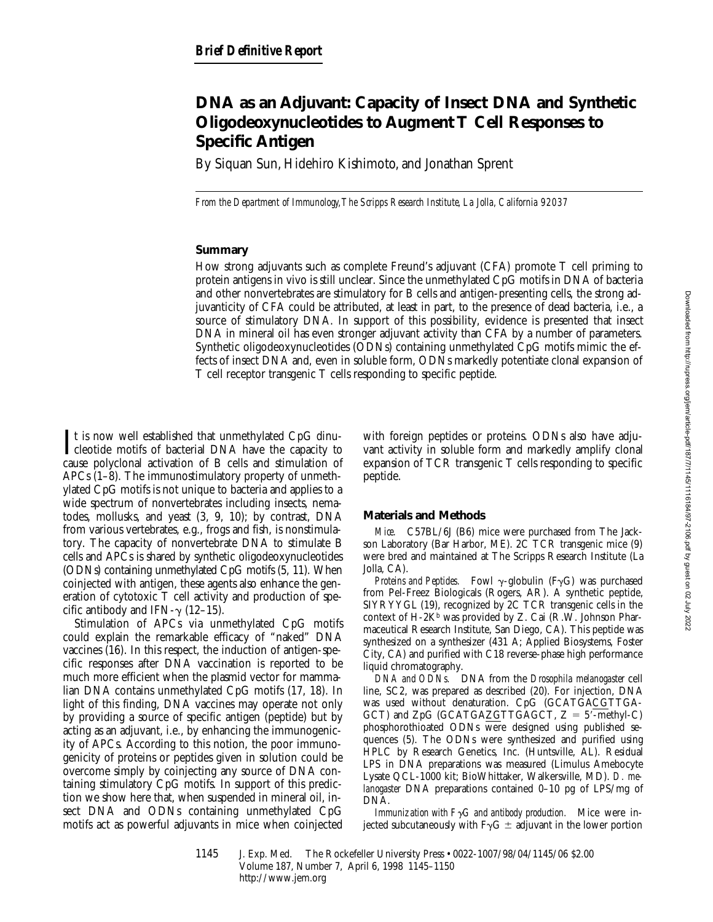# **DNA as an Adjuvant: Capacity of Insect DNA and Synthetic Oligodeoxynucleotides to Augment T Cell Responses to Specific Antigen**

By Siquan Sun, Hidehiro Kishimoto, and Jonathan Sprent

*From the Department of Immunology, The Scripps Research Institute, La Jolla, California 92037*

## **Summary**

How strong adjuvants such as complete Freund's adjuvant (CFA) promote T cell priming to protein antigens in vivo is still unclear. Since the unmethylated CpG motifs in DNA of bacteria and other nonvertebrates are stimulatory for B cells and antigen-presenting cells, the strong adjuvanticity of CFA could be attributed, at least in part, to the presence of dead bacteria, i.e., a source of stimulatory DNA. In support of this possibility, evidence is presented that insect DNA in mineral oil has even stronger adjuvant activity than CFA by a number of parameters. Synthetic oligodeoxynucleotides (ODNs) containing unmethylated CpG motifs mimic the effects of insect DNA and, even in soluble form, ODNs markedly potentiate clonal expansion of T cell receptor transgenic T cells responding to specific peptide.

It is now well established that unmethylated CpG dinu-<br>cleotide motifs of bacterial DNA have the capacity to cleotide motifs of bacterial DNA have the capacity to cause polyclonal activation of B cells and stimulation of APCs (1–8). The immunostimulatory property of unmethylated CpG motifs is not unique to bacteria and applies to a wide spectrum of nonvertebrates including insects, nematodes, mollusks, and yeast (3, 9, 10); by contrast, DNA from various vertebrates, e.g., frogs and fish, is nonstimulatory. The capacity of nonvertebrate DNA to stimulate B cells and APCs is shared by synthetic oligodeoxynucleotides (ODNs) containing unmethylated CpG motifs (5, 11). When coinjected with antigen, these agents also enhance the generation of cytotoxic T cell activity and production of specific antibody and IFN- $\gamma$  (12–15).

Stimulation of APCs via unmethylated CpG motifs could explain the remarkable efficacy of "naked" DNA vaccines (16). In this respect, the induction of antigen-specific responses after DNA vaccination is reported to be much more efficient when the plasmid vector for mammalian DNA contains unmethylated CpG motifs (17, 18). In light of this finding, DNA vaccines may operate not only by providing a source of specific antigen (peptide) but by acting as an adjuvant, i.e., by enhancing the immunogenicity of APCs. According to this notion, the poor immunogenicity of proteins or peptides given in solution could be overcome simply by coinjecting any source of DNA containing stimulatory CpG motifs. In support of this prediction we show here that, when suspended in mineral oil, insect DNA and ODNs containing unmethylated CpG motifs act as powerful adjuvants in mice when coinjected

with foreign peptides or proteins. ODNs also have adjuvant activity in soluble form and markedly amplify clonal expansion of TCR transgenic T cells responding to specific peptide.

# **Materials and Methods**

*Mice.* C57BL/6J (B6) mice were purchased from The Jackson Laboratory (Bar Harbor, ME). 2C TCR transgenic mice (9) were bred and maintained at The Scripps Research Institute (La Jolla, CA).

*Proteins and Peptides.* Fowl  $\gamma$ -globulin (F $\gamma$ G) was purchased from Pel-Freez Biologicals (Rogers, AR). A synthetic peptide, SIYRYYGL (19), recognized by 2C TCR transgenic cells in the context of H-2Kb was provided by Z. Cai (R.W. Johnson Pharmaceutical Research Institute, San Diego, CA). This peptide was synthesized on a synthesizer (431 A; Applied Biosystems, Foster City, CA) and purified with C18 reverse-phase high performance liquid chromatography.

*DNA and ODNs.* DNA from the *Drosophila melanogaster* cell line, SC2, was prepared as described (20). For injection, DNA was used without denaturation. CpG (GCATGACGTTGA-GCT) and  $ZpG$  (GCATGAZGTTGAGCT,  $Z = 5'$ -methyl-C) phosphorothioated ODNs were designed using published sequences (5). The ODNs were synthesized and purified using HPLC by Research Genetics, Inc. (Huntsville, AL). Residual LPS in DNA preparations was measured (Limulus Amebocyte Lysate QCL-1000 kit; BioWhittaker, Walkersville, MD). *D. melanogaster* DNA preparations contained 0–10 pg of LPS/mg of DNA.

*Immunization with F* $\gamma$ *G and antibody production.* Mice were injected subcutaneously with  $F\gamma G \pm \alpha$  adjuvant in the lower portion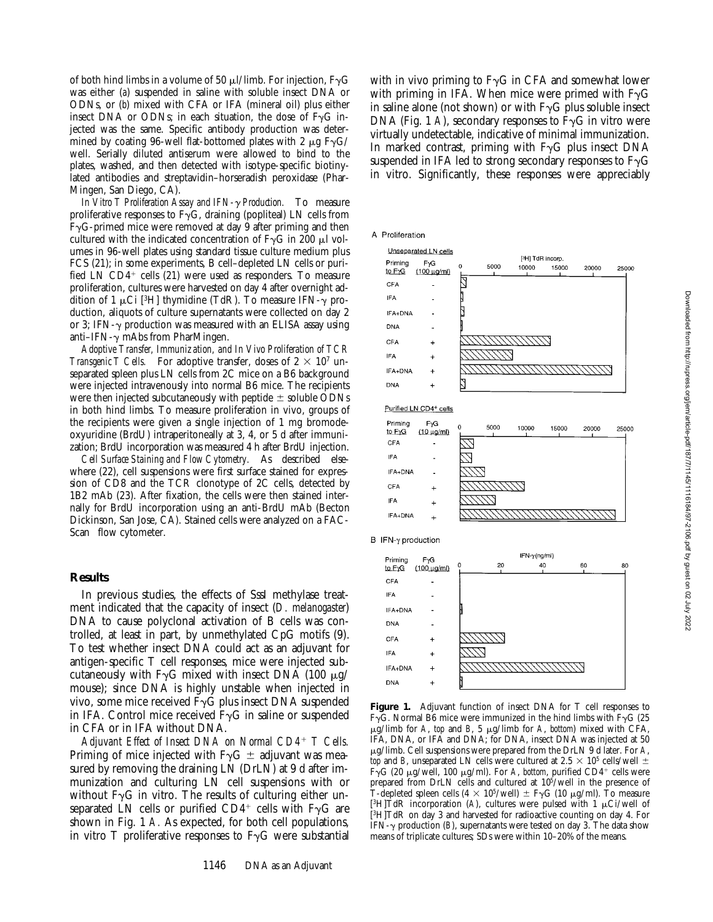of both hind limbs in a volume of 50  $\mu$ *l*/limb. For injection, F<sub> $\gamma$ G</sub> was either (*a*) suspended in saline with soluble insect DNA or ODNs, or (*b*) mixed with CFA or IFA (mineral oil) plus either insect DNA or ODNs; in each situation, the dose of  $F_YG$  injected was the same. Specific antibody production was determined by coating 96-well flat-bottomed plates with 2  $\mu$ g F $\gamma$ G/ well. Serially diluted antiserum were allowed to bind to the plates, washed, and then detected with isotype-specific biotinylated antibodies and streptavidin–horseradish peroxidase (Phar-Mingen, San Diego, CA).

*In Vitro T Proliferation Assay and IFN-*g *Production.* To measure proliferative responses to  $F\gamma G$ , draining (popliteal) LN cells from  $F\gamma G$ -primed mice were removed at day 9 after priming and then cultured with the indicated concentration of  $F_{\gamma}G$  in 200  $\mu$ l volumes in 96-well plates using standard tissue culture medium plus FCS (21); in some experiments, B cell–depleted LN cells or purified LN  $CD4^+$  cells (21) were used as responders. To measure proliferation, cultures were harvested on day 4 after overnight addition of 1  $\mu$ Ci [<sup>3</sup>H] thymidine (TdR). To measure IFN- $\gamma$  production, aliquots of culture supernatants were collected on day 2 or 3; IFN- $\gamma$  production was measured with an ELISA assay using anti–IFN- $\gamma$  mAbs from PharMingen.

*Adoptive Transfer, Immunization, and In Vivo Proliferation of TCR Transgenic T Cells.* For adoptive transfer, doses of  $2 \times 10^7$  unseparated spleen plus LN cells from 2C mice on a B6 background were injected intravenously into normal B6 mice. The recipients were then injected subcutaneously with peptide  $\pm$  soluble ODNs in both hind limbs. To measure proliferation in vivo, groups of the recipients were given a single injection of 1 mg bromodeoxyuridine (BrdU) intraperitoneally at 3, 4, or 5 d after immunization; BrdU incorporation was measured 4 h after BrdU injection.

*Cell Surface Staining and Flow Cytometry.* As described elsewhere (22), cell suspensions were first surface stained for expression of CD8 and the TCR clonotype of 2C cells, detected by 1B2 mAb (23). After fixation, the cells were then stained internally for BrdU incorporation using an anti-BrdU mAb (Becton Dickinson, San Jose, CA). Stained cells were analyzed on a FAC-Scan<sup>®</sup> flow cytometer.

#### **Results**

In previous studies, the effects of SssI methylase treatment indicated that the capacity of insect (*D. melanogaster*) DNA to cause polyclonal activation of B cells was controlled, at least in part, by unmethylated CpG motifs (9). To test whether insect DNA could act as an adjuvant for antigen-specific T cell responses, mice were injected subcutaneously with F<sub> $\gamma$ G mixed with insect DNA (100  $\mu$ g/</sub> mouse); since DNA is highly unstable when injected in vivo, some mice received  $F\gamma G$  plus insect DNA suspended in IFA. Control mice received  $F_{\gamma}G$  in saline or suspended in CFA or in IFA without DNA.

*Adjuvant Effect of Insect DNA on Normal CD4*<sup>1</sup> *T Cells.* Priming of mice injected with  $F\gamma G \pm \alpha d$  adjuvant was measured by removing the draining LN (DrLN) at 9 d after immunization and culturing LN cell suspensions with or without  $F\gamma G$  in vitro. The results of culturing either unseparated LN cells or purified  $CD4^+$  cells with F $\gamma G$  are shown in Fig. 1 *A.* As expected, for both cell populations, in vitro T proliferative responses to  $F\gamma G$  were substantial with in vivo priming to  $F\gamma G$  in CFA and somewhat lower with priming in IFA. When mice were primed with  $F_{\gamma}G$ in saline alone (not shown) or with  $F\gamma G$  plus soluble insect DNA (Fig. 1 *A*), secondary responses to  $\bar{F}\gamma G$  in vitro were virtually undetectable, indicative of minimal immunization. In marked contrast, priming with  $F\gamma G$  plus insect DNA suspended in IFA led to strong secondary responses to  $F\gamma G$ in vitro. Significantly, these responses were appreciably









CFA IFA



**Figure 1.** Adjuvant function of insect DNA for T cell responses to F $\gamma$ G. Normal B6 mice were immunized in the hind limbs with F $\gamma$ G (25 mg/limb for *A*, *top* and *B*, 5 mg/limb for *A*, *bottom*) mixed with CFA, IFA, DNA, or IFA and DNA; for DNA, insect DNA was injected at 50 mg/limb. Cell suspensions were prepared from the DrLN 9 d later. For *A*, *top* and *B*, unseparated LN cells were cultured at 2.5  $\times$  10<sup>5</sup> cells/well  $\pm$  $F\gamma G$  (20  $\mu$ g/well, 100  $\mu$ g/ml). For *A*, *bottom*, purified CD4<sup>+</sup> cells were prepared from DrLN cells and cultured at 105/well in the presence of T-depleted spleen cells  $(4 \times 10^5/\text{well}) \pm F\gamma G$  (10  $\mu$ g/ml). To measure [<sup>3</sup>H]TdR incorporation (A), cultures were pulsed with 1  $\mu$ Ci/well of [3H]TdR on day 3 and harvested for radioactive counting on day 4. For IFN- $\gamma$  production (*B*), supernatants were tested on day 3. The data show means of triplicate cultures; SDs were within 10–20% of the means.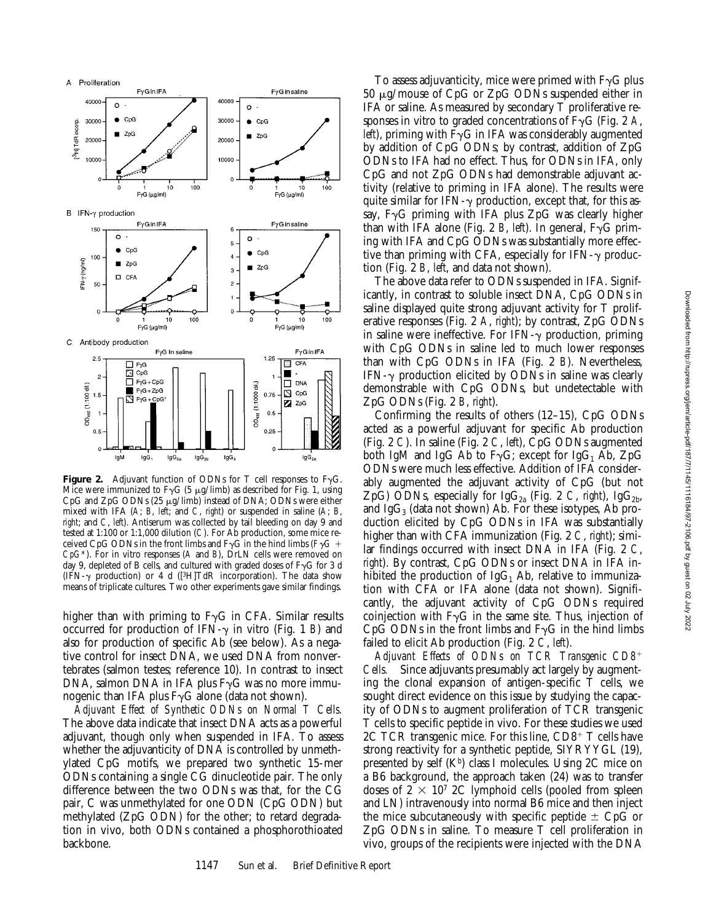

**Figure 2.** Adjuvant function of ODNs for T cell responses to  $F_{\gamma}G$ . Mice were immunized to  $F\gamma G$  (5  $\mu$ g/limb) as described for Fig. 1, using CpG and ZpG ODNs (25  $\mu$ g/limb) instead of DNA; ODNs were either mixed with IFA (*A*; *B*, *left*; and *C*, *right*) or suspended in saline (*A*; *B*, *right*; and *C*, *left*). Antiserum was collected by tail bleeding on day 9 and tested at 1:100 or 1:1,000 dilution (*C*). For Ab production, some mice received CpG ODNs in the front limbs and  $F\gamma G$  in the hind limbs ( $F\gamma G$  + *CpG\**). For in vitro responses (*A* and *B*), DrLN cells were removed on day 9, depleted of B cells, and cultured with graded doses of  $F\gamma G$  for 3 d (IFN- $\gamma$  production) or 4 d ([<sup>3</sup>H]TdR incorporation). The data show means of triplicate cultures. Two other experiments gave similar findings.

higher than with priming to  $F\gamma G$  in CFA. Similar results occurred for production of IFN- $\gamma$  in vitro (Fig. 1 *B*) and also for production of specific Ab (see below). As a negative control for insect DNA, we used DNA from nonvertebrates (salmon testes; reference 10). In contrast to insect DNA, salmon DNA in IFA plus  $F\gamma G$  was no more immunogenic than IFA plus  $F\gamma G$  alone (data not shown).

*Adjuvant Effect of Synthetic ODNs on Normal T Cells.* The above data indicate that insect DNA acts as a powerful adjuvant, though only when suspended in IFA. To assess whether the adjuvanticity of DNA is controlled by unmethylated CpG motifs, we prepared two synthetic 15-mer ODNs containing a single CG dinucleotide pair. The only difference between the two ODNs was that, for the CG pair, C was unmethylated for one ODN (CpG ODN) but methylated (ZpG ODN) for the other; to retard degradation in vivo, both ODNs contained a phosphorothioated backbone.

To assess adjuvanticity, mice were primed with  $F\gamma G$  plus 50 mg/mouse of CpG or ZpG ODNs suspended either in IFA or saline. As measured by secondary T proliferative responses in vitro to graded concentrations of  $F\gamma G$  (Fig. 2 *A*, *left*), priming with  $F\gamma G$  in IFA was considerably augmented by addition of CpG ODNs; by contrast, addition of ZpG ODNs to IFA had no effect. Thus, for ODNs in IFA, only CpG and not ZpG ODNs had demonstrable adjuvant activity (relative to priming in IFA alone). The results were quite similar for IFN- $\gamma$  production, except that, for this assay,  $F_{\gamma}G$  priming with IFA plus  $Z_{\gamma}G$  was clearly higher than with IFA alone (Fig. 2 *B*, *left*). In general,  $F\gamma G$  priming with IFA and CpG ODNs was substantially more effective than priming with CFA, especially for IFN- $\gamma$  production (Fig. 2 *B*, *left*, and data not shown).

The above data refer to ODNs suspended in IFA. Significantly, in contrast to soluble insect DNA, CpG ODNs in saline displayed quite strong adjuvant activity for T proliferative responses (Fig. 2 *A*, *right*); by contrast, ZpG ODNs in saline were ineffective. For IFN- $\gamma$  production, priming with CpG ODNs in saline led to much lower responses than with CpG ODNs in IFA (Fig. 2 *B*). Nevertheless, IFN- $\gamma$  production elicited by ODNs in saline was clearly demonstrable with CpG ODNs, but undetectable with ZpG ODNs (Fig. 2 *B*, *right*).

Confirming the results of others (12–15), CpG ODNs acted as a powerful adjuvant for specific Ab production (Fig. 2 *C*). In saline (Fig. 2 *C*, *left*), CpG ODNs augmented both IgM and IgG Ab to  $F_{\gamma}G$ ; except for IgG<sub>1</sub> Ab, ZpG ODNs were much less effective. Addition of IFA considerably augmented the adjuvant activity of CpG (but not ZpG) ODNs, especially for  $IgG_{2a}$  (Fig. 2 *C, right*),  $IgG_{2b}$ , and  $IgG_3$  (data not shown) Ab. For these isotypes, Ab production elicited by CpG ODNs in IFA was substantially higher than with CFA immunization (Fig. 2 *C*, *right*); similar findings occurred with insect DNA in IFA (Fig. 2 *C*, *right*). By contrast, CpG ODNs or insect DNA in IFA inhibited the production of IgG<sub>1</sub> Ab, relative to immunization with CFA or IFA alone (data not shown). Significantly, the adjuvant activity of CpG ODNs required coinjection with  $F\gamma G$  in the same site. Thus, injection of  $CpG$  ODNs in the front limbs and  $F\neg G$  in the hind limbs failed to elicit Ab production (Fig. 2 *C*, *left*).

*Adjuvant Effects of ODNs on TCR Transgenic CD8*<sup>1</sup> *Cells.* Since adjuvants presumably act largely by augmenting the clonal expansion of antigen-specific T cells, we sought direct evidence on this issue by studying the capacity of ODNs to augment proliferation of TCR transgenic T cells to specific peptide in vivo. For these studies we used 2C TCR transgenic mice. For this line,  $CD8<sup>+</sup>$  T cells have strong reactivity for a synthetic peptide, SIYRYYGL (19), presented by self  $(K<sup>b</sup>)$  class I molecules. Using 2C mice on a B6 background, the approach taken (24) was to transfer doses of  $2 \times 10^7$  2C lymphoid cells (pooled from spleen and LN) intravenously into normal B6 mice and then inject the mice subcutaneously with specific peptide  $\pm$  CpG or ZpG ODNs in saline. To measure T cell proliferation in vivo, groups of the recipients were injected with the DNA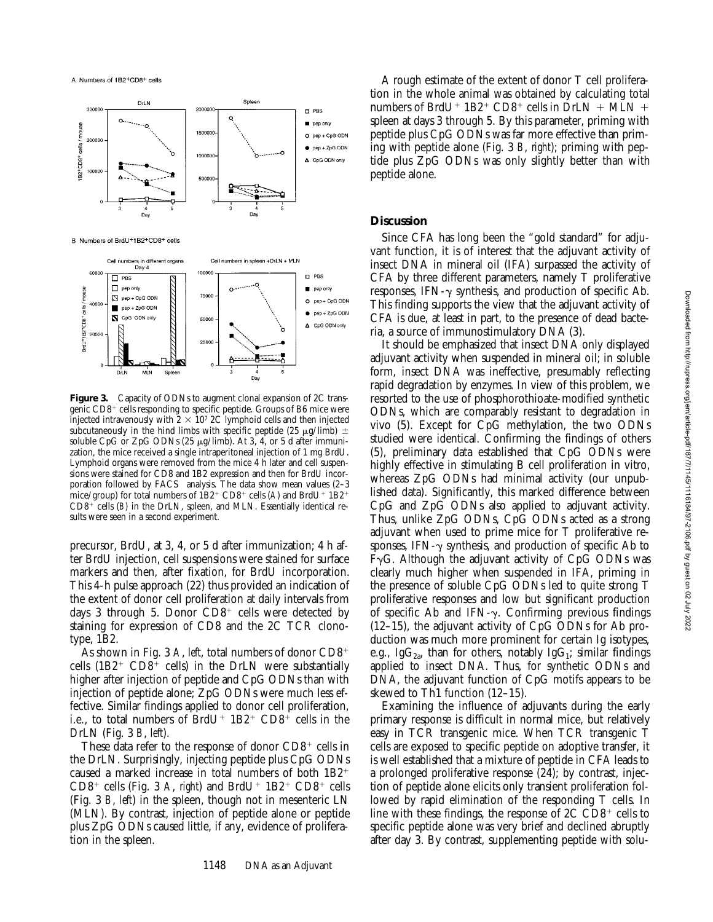



**Figure 3.** Capacity of ODNs to augment clonal expansion of 2C transgenic CD8<sup>+</sup> cells responding to specific peptide. Groups of B6 mice were injected intravenously with  $2 \times 10^7$  2C lymphoid cells and then injected subcutaneously in the hind limbs with specific peptide (25  $\mu$ g/limb)  $\pm$ soluble CpG or ZpG ODNs (25  $\mu$ g/limb). At 3, 4, or 5 d after immunization, the mice received a single intraperitoneal injection of 1 mg BrdU. Lymphoid organs were removed from the mice 4 h later and cell suspensions were stained for CD8 and 1B2 expression and then for BrdU incorporation followed by  $FACS^{\circledast}$  analysis. The data show mean values (2-3 mice/group) for total numbers of  $1B2^+$  CD8<sup>+</sup> cells (A) and BrdU<sup>+</sup> 1B2<sup>+</sup>  $CD8^+$  cells (*B*) in the DrLN, spleen, and MLN. Essentially identical results were seen in a second experiment.

precursor, BrdU, at 3, 4, or 5 d after immunization; 4 h after BrdU injection, cell suspensions were stained for surface markers and then, after fixation, for BrdU incorporation. This 4-h pulse approach (22) thus provided an indication of the extent of donor cell proliferation at daily intervals from days 3 through 5. Donor  $CD8^+$  cells were detected by staining for expression of CD8 and the 2C TCR clonotype, 1B2.

As shown in Fig. 3  $\dot{A}$ , *left*, total numbers of donor  $CD8^+$ cells  $(1B2^+$  CD8<sup>+</sup> cells) in the DrLN were substantially higher after injection of peptide and CpG ODNs than with injection of peptide alone; ZpG ODNs were much less effective. Similar findings applied to donor cell proliferation, i.e., to total numbers of BrdU<sup>+</sup>  $1B2$ <sup>+</sup> CD8<sup>+</sup> cells in the DrLN (Fig. 3 *B*, *left*).

These data refer to the response of donor  $CD8<sup>+</sup>$  cells in the DrLN. Surprisingly, injecting peptide plus CpG ODNs caused a marked increase in total numbers of both  $1B2^+$  $CD8^+$  cells (Fig. 3 *A*, *right*) and BrdU<sup>+</sup>  $1B2^+$  CD8<sup>+</sup> cells (Fig. 3 *B*, *left*) in the spleen, though not in mesenteric LN (MLN). By contrast, injection of peptide alone or peptide plus ZpG ODNs caused little, if any, evidence of proliferation in the spleen.

A rough estimate of the extent of donor T cell proliferation in the whole animal was obtained by calculating total numbers of BrdU<sup>+</sup> 1B2<sup>+</sup> CD8<sup>+</sup> cells in DrLN + MLN + spleen at days 3 through 5. By this parameter, priming with peptide plus CpG ODNs was far more effective than priming with peptide alone (Fig. 3 *B*, *right*); priming with peptide plus ZpG ODNs was only slightly better than with peptide alone.

## **Discussion**

Since CFA has long been the "gold standard" for adjuvant function, it is of interest that the adjuvant activity of insect DNA in mineral oil (IFA) surpassed the activity of CFA by three different parameters, namely T proliferative responses, IFN- $\gamma$  synthesis, and production of specific Ab. This finding supports the view that the adjuvant activity of CFA is due, at least in part, to the presence of dead bacteria, a source of immunostimulatory DNA (3).

It should be emphasized that insect DNA only displayed adjuvant activity when suspended in mineral oil; in soluble form, insect DNA was ineffective, presumably reflecting rapid degradation by enzymes. In view of this problem, we resorted to the use of phosphorothioate-modified synthetic ODNs, which are comparably resistant to degradation in vivo (5). Except for CpG methylation, the two ODNs studied were identical. Confirming the findings of others (5), preliminary data established that CpG ODNs were highly effective in stimulating B cell proliferation in vitro, whereas ZpG ODNs had minimal activity (our unpublished data). Significantly, this marked difference between CpG and ZpG ODNs also applied to adjuvant activity. Thus, unlike ZpG ODNs, CpG ODNs acted as a strong adjuvant when used to prime mice for T proliferative responses, IFN- $\gamma$  synthesis, and production of specific Ab to  $F_YG$ . Although the adjuvant activity of CpG ODNs was clearly much higher when suspended in IFA, priming in the presence of soluble CpG ODNs led to quite strong T proliferative responses and low but significant production of specific Ab and IFN- $\gamma$ . Confirming previous findings (12–15), the adjuvant activity of CpG ODNs for Ab production was much more prominent for certain Ig isotypes, e.g., Ig $G_{2a}$ , than for others, notably Ig $G_1$ ; similar findings applied to insect DNA. Thus, for synthetic ODNs and DNA, the adjuvant function of CpG motifs appears to be skewed to Th1 function (12–15).

Examining the influence of adjuvants during the early primary response is difficult in normal mice, but relatively easy in TCR transgenic mice. When TCR transgenic T cells are exposed to specific peptide on adoptive transfer, it is well established that a mixture of peptide in CFA leads to a prolonged proliferative response (24); by contrast, injection of peptide alone elicits only transient proliferation followed by rapid elimination of the responding T cells. In line with these findings, the response of  $2C$   $CD8<sup>+</sup>$  cells to specific peptide alone was very brief and declined abruptly after day 3. By contrast, supplementing peptide with solu-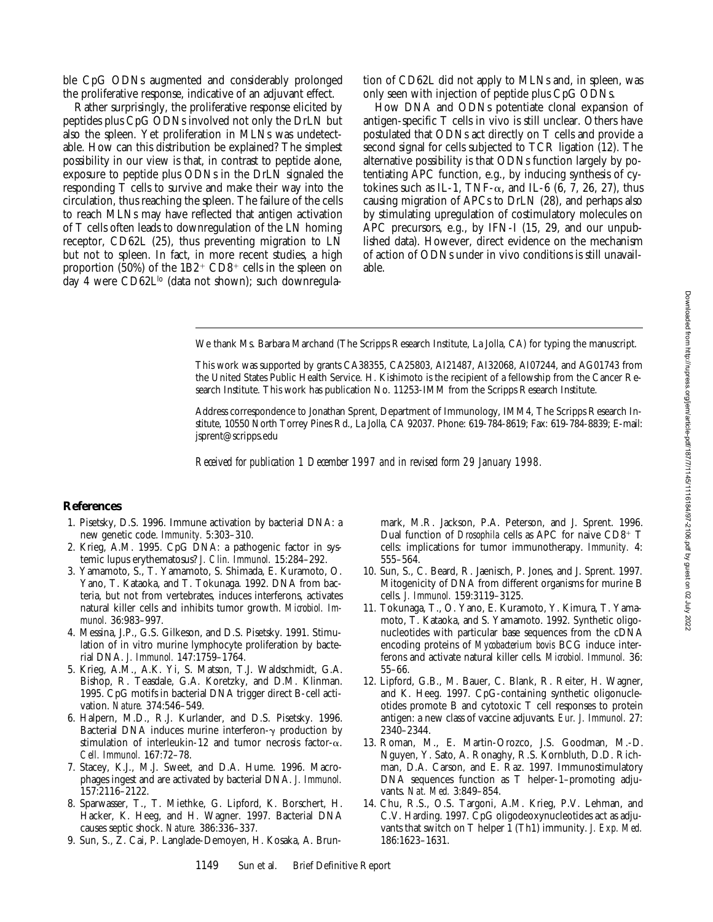Downloaded from http://rupress.org/jem/article-pdf/187/7/1145/1116184/97-2106.pdf by guest on 02 July 20222 Downloaded from http://rupress.org/jem/article-pdf/187/7/1145/1116184/97-2106.pdf by guest on 02 July 2022

ble CpG ODNs augmented and considerably prolonged the proliferative response, indicative of an adjuvant effect.

Rather surprisingly, the proliferative response elicited by peptides plus CpG ODNs involved not only the DrLN but also the spleen. Yet proliferation in MLNs was undetectable. How can this distribution be explained? The simplest possibility in our view is that, in contrast to peptide alone, exposure to peptide plus ODNs in the DrLN signaled the responding T cells to survive and make their way into the circulation, thus reaching the spleen. The failure of the cells to reach MLNs may have reflected that antigen activation of T cells often leads to downregulation of the LN homing receptor, CD62L (25), thus preventing migration to LN but not to spleen. In fact, in more recent studies, a high proportion (50%) of the  $1B2^+$  CD8<sup>+</sup> cells in the spleen on day 4 were CD62L<sup>lo</sup> (data not shown); such downregula-

tion of CD62L did not apply to MLNs and, in spleen, was only seen with injection of peptide plus CpG ODNs.

How DNA and ODNs potentiate clonal expansion of antigen-specific T cells in vivo is still unclear. Others have postulated that ODNs act directly on T cells and provide a second signal for cells subjected to TCR ligation (12). The alternative possibility is that ODNs function largely by potentiating APC function, e.g., by inducing synthesis of cytokines such as IL-1, TNF- $\alpha$ , and IL-6 (6, 7, 26, 27), thus causing migration of APCs to DrLN (28), and perhaps also by stimulating upregulation of costimulatory molecules on APC precursors, e.g., by IFN-I (15, 29, and our unpublished data). However, direct evidence on the mechanism of action of ODNs under in vivo conditions is still unavailable.

We thank Ms. Barbara Marchand (The Scripps Research Institute, La Jolla, CA) for typing the manuscript.

This work was supported by grants CA38355, CA25803, AI21487, AI32068, AI07244, and AG01743 from the United States Public Health Service. H. Kishimoto is the recipient of a fellowship from the Cancer Research Institute. This work has publication No. 11253-IMM from the Scripps Research Institute.

Address correspondence to Jonathan Sprent, Department of Immunology, IMM4, The Scripps Research Institute, 10550 North Torrey Pines Rd., La Jolla, CA 92037. Phone: 619-784-8619; Fax: 619-784-8839; E-mail: jsprent@scripps.edu

*Received for publication 1 December 1997 and in revised form 29 January 1998.*

# **References**

- 1. Pisetsky, D.S. 1996. Immune activation by bacterial DNA: a new genetic code. *Immunity.* 5:303–310.
- 2. Krieg, A.M. 1995. CpG DNA: a pathogenic factor in systemic lupus erythematosus? *J. Clin. Immunol.* 15:284–292.
- 3. Yamamoto, S., T. Yamamoto, S. Shimada, E. Kuramoto, O. Yano, T. Kataoka, and T. Tokunaga. 1992. DNA from bacteria, but not from vertebrates, induces interferons, activates natural killer cells and inhibits tumor growth. *Microbiol. Immunol.* 36:983–997.
- 4. Messina, J.P., G.S. Gilkeson, and D.S. Pisetsky. 1991. Stimulation of in vitro murine lymphocyte proliferation by bacterial DNA. *J. Immunol.* 147:1759–1764.
- 5. Krieg, A.M., A.K. Yi, S. Matson, T.J. Waldschmidt, G.A. Bishop, R. Teasdale, G.A. Koretzky, and D.M. Klinman. 1995. CpG motifs in bacterial DNA trigger direct B-cell activation. *Nature.* 374:546–549.
- 6. Halpern, M.D., R.J. Kurlander, and D.S. Pisetsky. 1996. Bacterial DNA induces murine interferon- $\gamma$  production by stimulation of interleukin-12 and tumor necrosis factor- $\alpha$ . *Cell. Immunol.* 167:72–78.
- 7. Stacey, K.J., M.J. Sweet, and D.A. Hume. 1996. Macrophages ingest and are activated by bacterial DNA. *J. Immunol.* 157:2116–2122.
- 8. Sparwasser, T., T. Miethke, G. Lipford, K. Borschert, H. Hacker, K. Heeg, and H. Wagner. 1997. Bacterial DNA causes septic shock. *Nature.* 386:336–337.
- 9. Sun, S., Z. Cai, P. Langlade-Demoyen, H. Kosaka, A. Brun-

mark, M.R. Jackson, P.A. Peterson, and J. Sprent. 1996. Dual function of *Drosophila* cells as APC for naive CD8<sup>+</sup> T cells: implications for tumor immunotherapy. *Immunity.* 4: 555–564.

- 10. Sun, S., C. Beard, R. Jaenisch, P. Jones, and J. Sprent. 1997. Mitogenicity of DNA from different organisms for murine B cells. *J. Immunol.* 159:3119–3125.
- 11. Tokunaga, T., O. Yano, E. Kuramoto, Y. Kimura, T. Yamamoto, T. Kataoka, and S. Yamamoto. 1992. Synthetic oligonucleotides with particular base sequences from the cDNA encoding proteins of *Mycobacterium bovis* BCG induce interferons and activate natural killer cells. *Microbiol. Immunol.* 36: 55–66.
- 12. Lipford, G.B., M. Bauer, C. Blank, R. Reiter, H. Wagner, and K. Heeg. 1997. CpG-containing synthetic oligonucleotides promote B and cytotoxic T cell responses to protein antigen: a new class of vaccine adjuvants. *Eur. J. Immunol.* 27: 2340–2344.
- 13. Roman, M., E. Martin-Orozco, J.S. Goodman, M.-D. Nguyen, Y. Sato, A. Ronaghy, R.S. Kornbluth, D.D. Richman, D.A. Carson, and E. Raz. 1997. Immunostimulatory DNA sequences function as T helper-1–promoting adjuvants. *Nat. Med.* 3:849–854.
- 14. Chu, R.S., O.S. Targoni, A.M. Krieg, P.V. Lehman, and C.V. Harding. 1997. CpG oligodeoxynucleotides act as adjuvants that switch on T helper 1 (Th1) immunity. *J. Exp. Med.* 186:1623–1631.